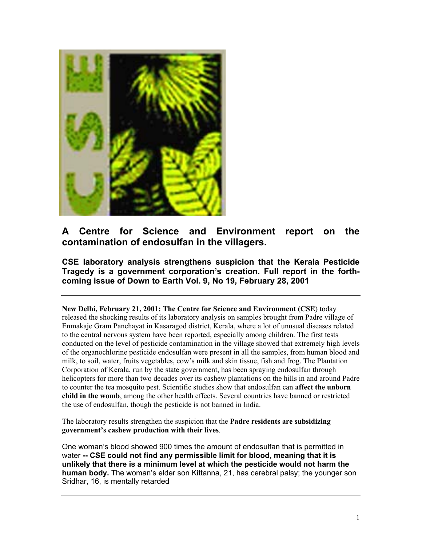

# **A Centre for Science and Environment report on the contamination of endosulfan in the villagers.**

**CSE laboratory analysis strengthens suspicion that the Kerala Pesticide Tragedy is a government corporation's creation. Full report in the forthcoming issue of Down to Earth Vol. 9, No 19, February 28, 2001**

**New Delhi, February 21, 2001: The Centre for Science and Environment (CSE**) today released the shocking results of its laboratory analysis on samples brought from Padre village of Enmakaje Gram Panchayat in Kasaragod district, Kerala, where a lot of unusual diseases related to the central nervous system have been reported, especially among children. The first tests conducted on the level of pesticide contamination in the village showed that extremely high levels of the organochlorine pesticide endosulfan were present in all the samples, from human blood and milk, to soil, water, fruits vegetables, cow's milk and skin tissue, fish and frog. The Plantation Corporation of Kerala, run by the state government, has been spraying endosulfan through helicopters for more than two decades over its cashew plantations on the hills in and around Padre to counter the tea mosquito pest. Scientific studies show that endosulfan can **affect the unborn child in the womb**, among the other health effects. Several countries have banned or restricted the use of endosulfan, though the pesticide is not banned in India.

The laboratory results strengthen the suspicion that the **Padre residents are subsidizing government's cashew production with their lives**.

One woman's blood showed 900 times the amount of endosulfan that is permitted in water **-- CSE could not find any permissible limit for blood, meaning that it is unlikely that there is a minimum level at which the pesticide would not harm the human body.** The woman's elder son Kittanna, 21, has cerebral palsy; the younger son Sridhar, 16, is mentally retarded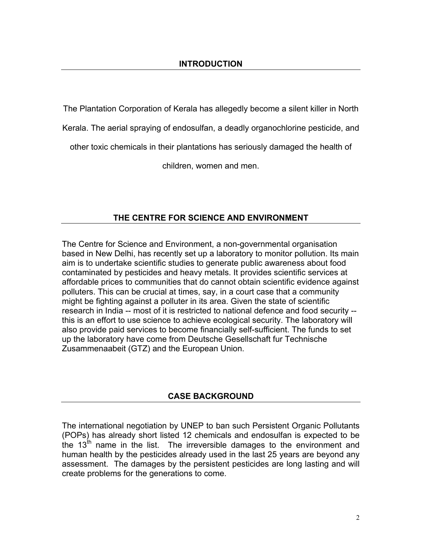The Plantation Corporation of Kerala has allegedly become a silent killer in North

Kerala. The aerial spraying of endosulfan, a deadly organochlorine pesticide, and

other toxic chemicals in their plantations has seriously damaged the health of

children, women and men.

## **THE CENTRE FOR SCIENCE AND ENVIRONMENT**

The Centre for Science and Environment, a non-governmental organisation based in New Delhi, has recently set up a laboratory to monitor pollution. Its main aim is to undertake scientific studies to generate public awareness about food contaminated by pesticides and heavy metals. It provides scientific services at affordable prices to communities that do cannot obtain scientific evidence against polluters. This can be crucial at times, say, in a court case that a community might be fighting against a polluter in its area. Given the state of scientific research in India -- most of it is restricted to national defence and food security - this is an effort to use science to achieve ecological security. The laboratory will also provide paid services to become financially self-sufficient. The funds to set up the laboratory have come from Deutsche Gesellschaft fur Technische Zusammenaabeit (GTZ) and the European Union.

### **CASE BACKGROUND**

The international negotiation by UNEP to ban such Persistent Organic Pollutants (POPs) has already short listed 12 chemicals and endosulfan is expected to be the 13<sup>th</sup> name in the list. The irreversible damages to the environment and human health by the pesticides already used in the last 25 years are beyond any assessment. The damages by the persistent pesticides are long lasting and will create problems for the generations to come.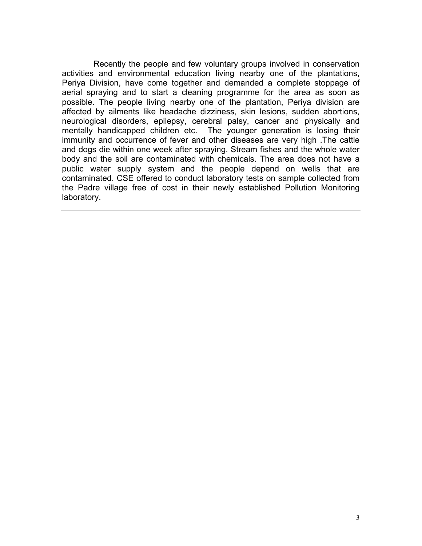Recently the people and few voluntary groups involved in conservation activities and environmental education living nearby one of the plantations, Periya Division, have come together and demanded a complete stoppage of aerial spraying and to start a cleaning programme for the area as soon as possible. The people living nearby one of the plantation, Periya division are affected by ailments like headache dizziness, skin lesions, sudden abortions, neurological disorders, epilepsy, cerebral palsy, cancer and physically and mentally handicapped children etc. The younger generation is losing their immunity and occurrence of fever and other diseases are very high .The cattle and dogs die within one week after spraying. Stream fishes and the whole water body and the soil are contaminated with chemicals. The area does not have a public water supply system and the people depend on wells that are contaminated. CSE offered to conduct laboratory tests on sample collected from the Padre village free of cost in their newly established Pollution Monitoring laboratory.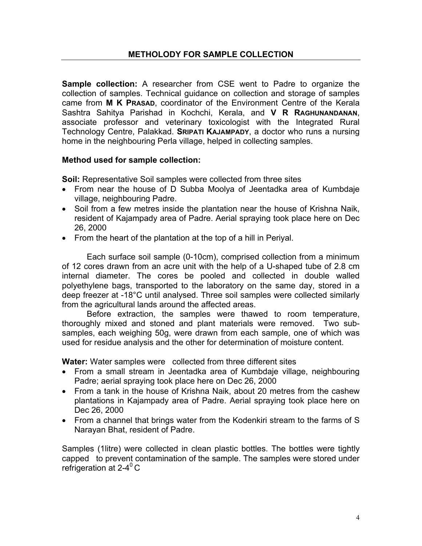**Sample collection:** A researcher from CSE went to Padre to organize the collection of samples. Technical guidance on collection and storage of samples came from **M K PRASAD**, coordinator of the Environment Centre of the Kerala Sashtra Sahitya Parishad in Kochchi, Kerala, and **V R RAGHUNANDANAN**, associate professor and veterinary toxicologist with the Integrated Rural Technology Centre, Palakkad. **SRIPATI KAJAMPADY**, a doctor who runs a nursing home in the neighbouring Perla village, helped in collecting samples.

## **Method used for sample collection:**

**Soil:** Representative Soil samples were collected from three sites

- From near the house of D Subba Moolya of Jeentadka area of Kumbdaje village, neighbouring Padre.
- Soil from a few metres inside the plantation near the house of Krishna Naik, resident of Kajampady area of Padre. Aerial spraying took place here on Dec 26, 2000
- From the heart of the plantation at the top of a hill in Periyal.

Each surface soil sample (0-10cm), comprised collection from a minimum of 12 cores drawn from an acre unit with the help of a U-shaped tube of 2.8 cm internal diameter. The cores be pooled and collected in double walled polyethylene bags, transported to the laboratory on the same day, stored in a deep freezer at -18°C until analysed. Three soil samples were collected similarly from the agricultural lands around the affected areas.

Before extraction, the samples were thawed to room temperature, thoroughly mixed and stoned and plant materials were removed. Two subsamples, each weighing 50g, were drawn from each sample, one of which was used for residue analysis and the other for determination of moisture content.

**Water:** Water samples were collected from three different sites

- From a small stream in Jeentadka area of Kumbdaje village, neighbouring Padre; aerial spraying took place here on Dec 26, 2000
- From a tank in the house of Krishna Naik, about 20 metres from the cashew plantations in Kajampady area of Padre. Aerial spraying took place here on Dec 26, 2000
- From a channel that brings water from the Kodenkiri stream to the farms of S Narayan Bhat, resident of Padre.

Samples (1litre) were collected in clean plastic bottles. The bottles were tightly capped to prevent contamination of the sample. The samples were stored under refrigeration at  $2-4$ <sup>0</sup> C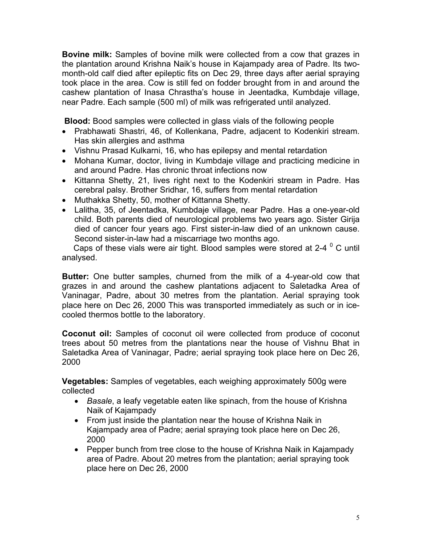**Bovine milk:** Samples of bovine milk were collected from a cow that grazes in the plantation around Krishna Naik's house in Kajampady area of Padre. Its twomonth-old calf died after epileptic fits on Dec 29, three days after aerial spraying took place in the area. Cow is still fed on fodder brought from in and around the cashew plantation of Inasa Chrastha's house in Jeentadka, Kumbdaje village, near Padre. Each sample (500 ml) of milk was refrigerated until analyzed.

 **Blood:** Bood samples were collected in glass vials of the following people

- Prabhawati Shastri, 46, of Kollenkana, Padre, adjacent to Kodenkiri stream. Has skin allergies and asthma
- Vishnu Prasad Kulkarni, 16, who has epilepsy and mental retardation
- Mohana Kumar, doctor, living in Kumbdaje village and practicing medicine in and around Padre. Has chronic throat infections now
- Kittanna Shetty, 21, lives right next to the Kodenkiri stream in Padre. Has cerebral palsy. Brother Sridhar, 16, suffers from mental retardation
- Muthakka Shetty, 50, mother of Kittanna Shetty.
- Lalitha, 35, of Jeentadka, Kumbdaje village, near Padre. Has a one-year-old child. Both parents died of neurological problems two years ago. Sister Girija died of cancer four years ago. First sister-in-law died of an unknown cause. Second sister-in-law had a miscarriage two months ago.

Caps of these vials were air tight. Blood samples were stored at 2-4  $^{\circ}$  C until analysed.

**Butter:** One butter samples, churned from the milk of a 4-year-old cow that grazes in and around the cashew plantations adjacent to Saletadka Area of Vaninagar, Padre, about 30 metres from the plantation. Aerial spraying took place here on Dec 26, 2000 This was transported immediately as such or in icecooled thermos bottle to the laboratory.

**Coconut oil:** Samples of coconut oil were collected from produce of coconut trees about 50 metres from the plantations near the house of Vishnu Bhat in Saletadka Area of Vaninagar, Padre; aerial spraying took place here on Dec 26, 2000

**Vegetables:** Samples of vegetables, each weighing approximately 500g were collected

- *Basale*, a leafy vegetable eaten like spinach, from the house of Krishna Naik of Kajampady
- From just inside the plantation near the house of Krishna Naik in Kajampady area of Padre; aerial spraying took place here on Dec 26, 2000
- Pepper bunch from tree close to the house of Krishna Naik in Kajampady area of Padre. About 20 metres from the plantation; aerial spraying took place here on Dec 26, 2000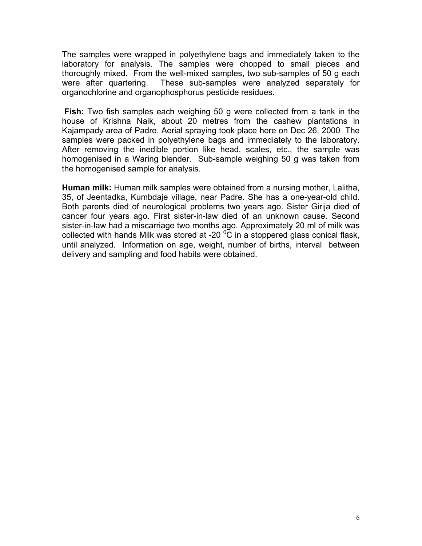The samples were wrapped in polyethylene bags and immediately taken to the laboratory for analysis. The samples were chopped to small pieces and thoroughly mixed. From the well-mixed samples, two sub-samples of 50 g each were after quartering. These sub-samples were analyzed separately for organochlorine and organophosphorus pesticide residues.

 **Fish:** Two fish samples each weighing 50 g were collected from a tank in the house of Krishna Naik, about 20 metres from the cashew plantations in Kajampady area of Padre. Aerial spraying took place here on Dec 26, 2000 The samples were packed in polyethylene bags and immediately to the laboratory. After removing the inedible portion like head, scales, etc., the sample was homogenised in a Waring blender. Sub-sample weighing 50 g was taken from the homogenised sample for analysis.

**Human milk:** Human milk samples were obtained from a nursing mother, Lalitha, 35, of Jeentadka, Kumbdaje village, near Padre. She has a one-year-old child. Both parents died of neurological problems two years ago. Sister Girija died of cancer four years ago. First sister-in-law died of an unknown cause. Second sister-in-law had a miscarriage two months ago. Approximately 20 ml of milk was collected with hands Milk was stored at -20  $\mathrm{^0\overline{C}}$  in a stoppered glass conical flask, until analyzed. Information on age, weight, number of births, interval between delivery and sampling and food habits were obtained.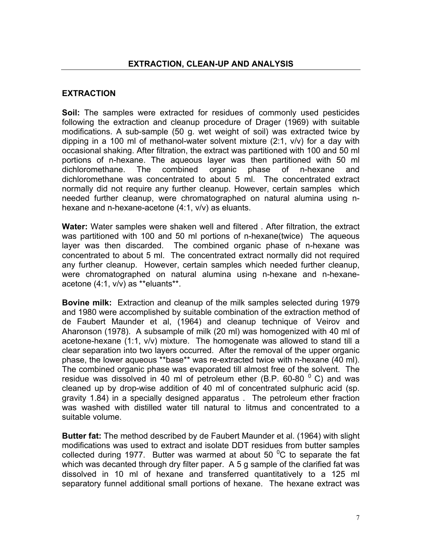## **EXTRACTION**

**Soil:** The samples were extracted for residues of commonly used pesticides following the extraction and cleanup procedure of Drager (1969) with suitable modifications. A sub-sample (50 g. wet weight of soil) was extracted twice by dipping in a 100 ml of methanol-water solvent mixture (2:1, v/v) for a day with occasional shaking. After filtration, the extract was partitioned with 100 and 50 ml portions of n-hexane. The aqueous layer was then partitioned with 50 ml dichloromethane. The combined organic phase of n-hexane and dichloromethane was concentrated to about 5 ml. The concentrated extract normally did not require any further cleanup. However, certain samples which needed further cleanup, were chromatographed on natural alumina using nhexane and n-hexane-acetone (4:1, v/v) as eluants.

**Water:** Water samples were shaken well and filtered . After filtration, the extract was partitioned with 100 and 50 ml portions of n-hexane(twice) The aqueous layer was then discarded. The combined organic phase of n-hexane was concentrated to about 5 ml. The concentrated extract normally did not required any further cleanup. However, certain samples which needed further cleanup, were chromatographed on natural alumina using n-hexane and n-hexaneacetone (4:1, v/v) as \*\*eluants\*\*.

**Bovine milk:** Extraction and cleanup of the milk samples selected during 1979 and 1980 were accomplished by suitable combination of the extraction method of de Faubert Maunder et al, (1964) and cleanup technique of Veirov and Aharonson (1978). A subsample of milk (20 ml) was homogenized with 40 ml of acetone-hexane (1:1, v/v) mixture. The homogenate was allowed to stand till a clear separation into two layers occurred. After the removal of the upper organic phase, the lower aqueous \*\*base\*\* was re-extracted twice with n-hexane (40 ml). The combined organic phase was evaporated till almost free of the solvent. The residue was dissolved in 40 ml of petroleum ether (B.P. 60-80  $^{\circ}$  C) and was cleaned up by drop-wise addition of 40 ml of concentrated sulphuric acid (sp. gravity 1.84) in a specially designed apparatus . The petroleum ether fraction was washed with distilled water till natural to litmus and concentrated to a suitable volume.

**Butter fat:** The method described by de Faubert Maunder et al. (1964) with slight modifications was used to extract and isolate DDT residues from butter samples collected during 1977. Butter was warmed at about 50  $\mathrm{^0C}$  to separate the fat which was decanted through dry filter paper. A 5 g sample of the clarified fat was dissolved in 10 ml of hexane and transferred quantitatively to a 125 ml separatory funnel additional small portions of hexane. The hexane extract was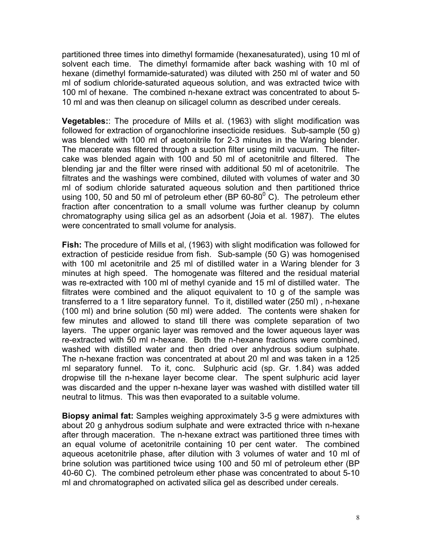partitioned three times into dimethyl formamide (hexanesaturated), using 10 ml of solvent each time. The dimethyl formamide after back washing with 10 ml of hexane (dimethyl formamide-saturated) was diluted with 250 ml of water and 50 ml of sodium chloride-saturated aqueous solution, and was extracted twice with 100 ml of hexane. The combined n-hexane extract was concentrated to about 5- 10 ml and was then cleanup on silicagel column as described under cereals.

**Vegetables:**: The procedure of Mills et al. (1963) with slight modification was followed for extraction of organochlorine insecticide residues. Sub-sample (50 g) was blended with 100 ml of acetonitrile for 2-3 minutes in the Waring blender. The macerate was filtered through a suction filter using mild vacuum. The filtercake was blended again with 100 and 50 ml of acetonitrile and filtered. The blending jar and the filter were rinsed with additional 50 ml of acetonitrile. The filtrates and the washings were combined, diluted with volumes of water and 30 ml of sodium chloride saturated aqueous solution and then partitioned thrice using 100, 50 and 50 ml of petroleum ether (BP 60-80 $^{\circ}$  C). The petroleum ether fraction after concentration to a small volume was further cleanup by column chromatography using silica gel as an adsorbent (Joia et al. 1987). The elutes were concentrated to small volume for analysis.

**Fish:** The procedure of Mills et al, (1963) with slight modification was followed for extraction of pesticide residue from fish. Sub-sample (50 G) was homogenised with 100 ml acetonitrile and 25 ml of distilled water in a Waring blender for 3 minutes at high speed. The homogenate was filtered and the residual material was re-extracted with 100 ml of methyl cyanide and 15 ml of distilled water. The filtrates were combined and the aliquot equivalent to 10 g of the sample was transferred to a 1 litre separatory funnel. To it, distilled water (250 ml) , n-hexane (100 ml) and brine solution (50 ml) were added. The contents were shaken for few minutes and allowed to stand till there was complete separation of two layers. The upper organic layer was removed and the lower aqueous layer was re-extracted with 50 ml n-hexane. Both the n-hexane fractions were combined, washed with distilled water and then dried over anhydrous sodium sulphate. The n-hexane fraction was concentrated at about 20 ml and was taken in a 125 ml separatory funnel. To it, conc. Sulphuric acid (sp. Gr. 1.84) was added dropwise till the n-hexane layer become clear. The spent sulphuric acid layer was discarded and the upper n-hexane layer was washed with distilled water till neutral to litmus. This was then evaporated to a suitable volume.

**Biopsy animal fat:** Samples weighing approximately 3-5 g were admixtures with about 20 g anhydrous sodium sulphate and were extracted thrice with n-hexane after through maceration. The n-hexane extract was partitioned three times with an equal volume of acetonitrile containing 10 per cent water. The combined aqueous acetonitrile phase, after dilution with 3 volumes of water and 10 ml of brine solution was partitioned twice using 100 and 50 ml of petroleum ether (BP 40-60 C). The combined petroleum ether phase was concentrated to about 5-10 ml and chromatographed on activated silica gel as described under cereals.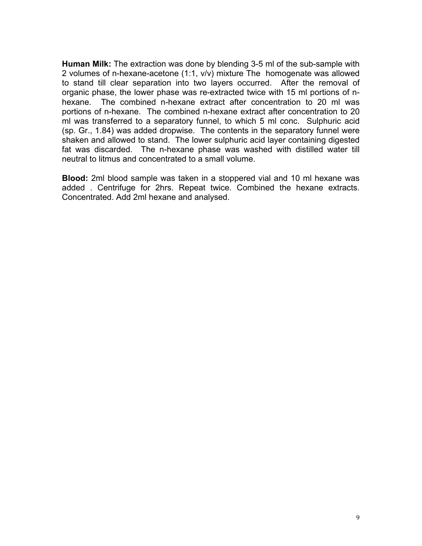**Human Milk:** The extraction was done by blending 3-5 ml of the sub-sample with 2 volumes of n-hexane-acetone (1:1, v/v) mixture The homogenate was allowed to stand till clear separation into two layers occurred. After the removal of organic phase, the lower phase was re-extracted twice with 15 ml portions of nhexane. The combined n-hexane extract after concentration to 20 ml was portions of n-hexane. The combined n-hexane extract after concentration to 20 ml was transferred to a separatory funnel, to which 5 ml conc. Sulphuric acid (sp. Gr., 1.84) was added dropwise. The contents in the separatory funnel were shaken and allowed to stand. The lower sulphuric acid layer containing digested fat was discarded. The n-hexane phase was washed with distilled water till neutral to litmus and concentrated to a small volume.

**Blood:** 2ml blood sample was taken in a stoppered vial and 10 ml hexane was added . Centrifuge for 2hrs. Repeat twice. Combined the hexane extracts. Concentrated. Add 2ml hexane and analysed.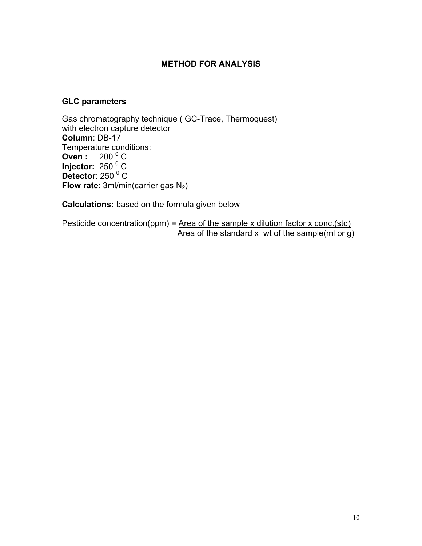### **GLC parameters**

Gas chromatography technique ( GC-Trace, Thermoquest) with electron capture detector **Column**: DB-17 Temperature conditions: **Oven:** 200<sup>0</sup>C **Injector: 250<sup>0</sup>C** Detector: 250<sup>°</sup>C **Flow rate:** 3ml/min(carrier gas N<sub>2</sub>)

**Calculations:** based on the formula given below

Pesticide concentration(ppm) =  $Area of the sample x$  dilution factor x conc.(std) Area of the standard  $x$  wt of the sample(ml or g)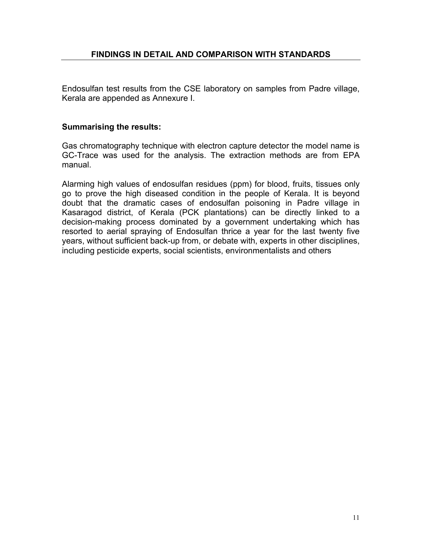Endosulfan test results from the CSE laboratory on samples from Padre village, Kerala are appended as Annexure I.

### **Summarising the results:**

Gas chromatography technique with electron capture detector the model name is GC-Trace was used for the analysis. The extraction methods are from EPA manual.

Alarming high values of endosulfan residues (ppm) for blood, fruits, tissues only go to prove the high diseased condition in the people of Kerala. It is beyond doubt that the dramatic cases of endosulfan poisoning in Padre village in Kasaragod district, of Kerala (PCK plantations) can be directly linked to a decision-making process dominated by a government undertaking which has resorted to aerial spraying of Endosulfan thrice a year for the last twenty five years, without sufficient back-up from, or debate with, experts in other disciplines, including pesticide experts, social scientists, environmentalists and others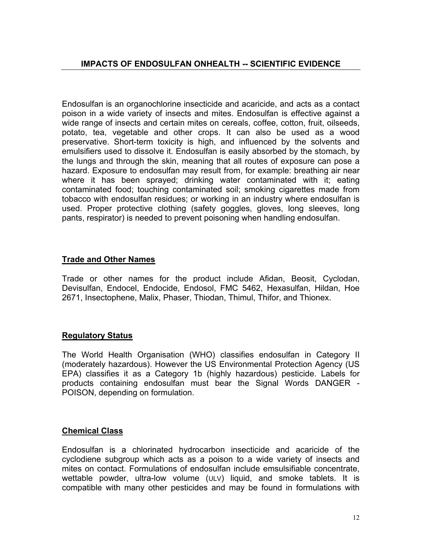Endosulfan is an organochlorine insecticide and acaricide, and acts as a contact poison in a wide variety of insects and mites. Endosulfan is effective against a wide range of insects and certain mites on cereals, coffee, cotton, fruit, oilseeds, potato, tea, vegetable and other crops. It can also be used as a wood preservative. Short-term toxicity is high, and influenced by the solvents and emulsifiers used to dissolve it. Endosulfan is easily absorbed by the stomach, by the lungs and through the skin, meaning that all routes of exposure can pose a hazard. Exposure to endosulfan may result from, for example: breathing air near where it has been sprayed; drinking water contaminated with it; eating contaminated food; touching contaminated soil; smoking cigarettes made from tobacco with endosulfan residues; or working in an industry where endosulfan is used. Proper protective clothing (safety goggles, gloves, long sleeves, long pants, respirator) is needed to prevent poisoning when handling endosulfan.

## **Trade and Other Names**

Trade or other names for the product include Afidan, Beosit, Cyclodan, Devisulfan, Endocel, Endocide, Endosol, FMC 5462, Hexasulfan, Hildan, Hoe 2671, Insectophene, Malix, Phaser, Thiodan, Thimul, Thifor, and Thionex.

### **Regulatory Status**

The World Health Organisation (WHO) classifies endosulfan in Category II (moderately hazardous). However the US Environmental Protection Agency (US EPA) classifies it as a Category 1b (highly hazardous) pesticide. Labels for products containing endosulfan must bear the Signal Words DANGER - POISON, depending on formulation.

### **Chemical Class**

Endosulfan is a chlorinated hydrocarbon insecticide and acaricide of the cyclodiene subgroup which acts as a poison to a wide variety of insects and mites on contact. Formulations of endosulfan include emsulsifiable concentrate, wettable powder, ultra-low volume (ULV) liquid, and smoke tablets. It is compatible with many other pesticides and may be found in formulations with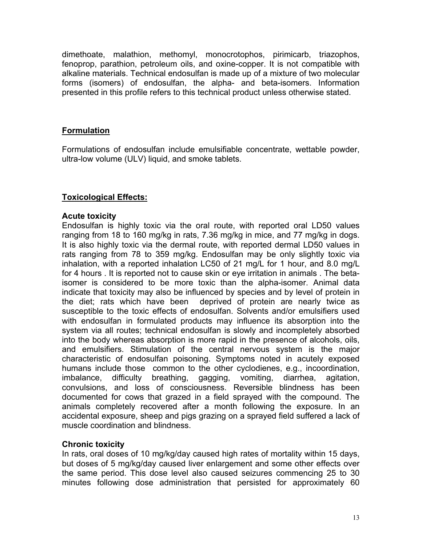dimethoate, malathion, methomyl, monocrotophos, pirimicarb, triazophos, fenoprop, parathion, petroleum oils, and oxine-copper. It is not compatible with alkaline materials. Technical endosulfan is made up of a mixture of two molecular forms (isomers) of endosulfan, the alpha- and beta-isomers. Information presented in this profile refers to this technical product unless otherwise stated.

## **Formulation**

Formulations of endosulfan include emulsifiable concentrate, wettable powder, ultra-low volume (ULV) liquid, and smoke tablets.

## **Toxicological Effects:**

## **Acute toxicity**

Endosulfan is highly toxic via the oral route, with reported oral LD50 values ranging from 18 to 160 mg/kg in rats, 7.36 mg/kg in mice, and 77 mg/kg in dogs. It is also highly toxic via the dermal route, with reported dermal LD50 values in rats ranging from 78 to 359 mg/kg. Endosulfan may be only slightly toxic via inhalation, with a reported inhalation LC50 of 21 mg/L for 1 hour, and 8.0 mg/L for 4 hours . It is reported not to cause skin or eye irritation in animals . The betaisomer is considered to be more toxic than the alpha-isomer. Animal data indicate that toxicity may also be influenced by species and by level of protein in the diet; rats which have been deprived of protein are nearly twice as susceptible to the toxic effects of endosulfan. Solvents and/or emulsifiers used with endosulfan in formulated products may influence its absorption into the system via all routes; technical endosulfan is slowly and incompletely absorbed into the body whereas absorption is more rapid in the presence of alcohols, oils, and emulsifiers. Stimulation of the central nervous system is the major characteristic of endosulfan poisoning. Symptoms noted in acutely exposed humans include those common to the other cyclodienes, e.g., incoordination, imbalance, difficulty breathing, gagging, vomiting, diarrhea, agitation, convulsions, and loss of consciousness. Reversible blindness has been documented for cows that grazed in a field sprayed with the compound. The animals completely recovered after a month following the exposure. In an accidental exposure, sheep and pigs grazing on a sprayed field suffered a lack of muscle coordination and blindness.

## **Chronic toxicity**

In rats, oral doses of 10 mg/kg/day caused high rates of mortality within 15 days, but doses of 5 mg/kg/day caused liver enlargement and some other effects over the same period. This dose level also caused seizures commencing 25 to 30 minutes following dose administration that persisted for approximately 60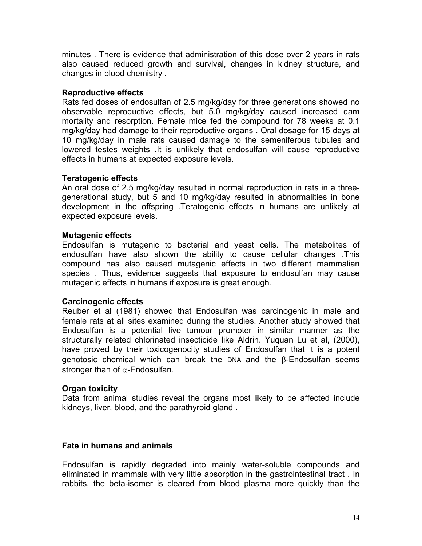minutes . There is evidence that administration of this dose over 2 years in rats also caused reduced growth and survival, changes in kidney structure, and changes in blood chemistry .

### **Reproductive effects**

Rats fed doses of endosulfan of 2.5 mg/kg/day for three generations showed no observable reproductive effects, but 5.0 mg/kg/day caused increased dam mortality and resorption. Female mice fed the compound for 78 weeks at 0.1 mg/kg/day had damage to their reproductive organs . Oral dosage for 15 days at 10 mg/kg/day in male rats caused damage to the semeniferous tubules and lowered testes weights .It is unlikely that endosulfan will cause reproductive effects in humans at expected exposure levels.

### **Teratogenic effects**

An oral dose of 2.5 mg/kg/day resulted in normal reproduction in rats in a threegenerational study, but 5 and 10 mg/kg/day resulted in abnormalities in bone development in the offspring .Teratogenic effects in humans are unlikely at expected exposure levels.

### **Mutagenic effects**

Endosulfan is mutagenic to bacterial and yeast cells. The metabolites of endosulfan have also shown the ability to cause cellular changes .This compound has also caused mutagenic effects in two different mammalian species . Thus, evidence suggests that exposure to endosulfan may cause mutagenic effects in humans if exposure is great enough.

#### **Carcinogenic effects**

Reuber et al (1981) showed that Endosulfan was carcinogenic in male and female rats at all sites examined during the studies. Another study showed that Endosulfan is a potential live tumour promoter in similar manner as the structurally related chlorinated insecticide like Aldrin. Yuquan Lu et al, (2000), have proved by their toxicogenocity studies of Endosulfan that it is a potent genotosic chemical which can break the DNA and the β-Endosulfan seems stronger than of  $\alpha$ -Endosulfan.

#### **Organ toxicity**

Data from animal studies reveal the organs most likely to be affected include kidneys, liver, blood, and the parathyroid gland .

#### **Fate in humans and animals**

Endosulfan is rapidly degraded into mainly water-soluble compounds and eliminated in mammals with very little absorption in the gastrointestinal tract . In rabbits, the beta-isomer is cleared from blood plasma more quickly than the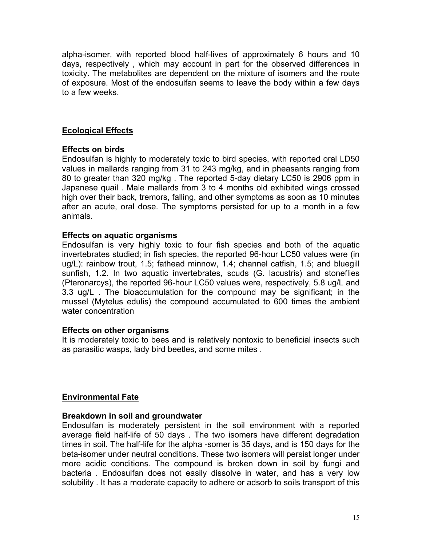alpha-isomer, with reported blood half-lives of approximately 6 hours and 10 days, respectively , which may account in part for the observed differences in toxicity. The metabolites are dependent on the mixture of isomers and the route of exposure. Most of the endosulfan seems to leave the body within a few days to a few weeks.

## **Ecological Effects**

## **Effects on birds**

Endosulfan is highly to moderately toxic to bird species, with reported oral LD50 values in mallards ranging from 31 to 243 mg/kg, and in pheasants ranging from 80 to greater than 320 mg/kg . The reported 5-day dietary LC50 is 2906 ppm in Japanese quail . Male mallards from 3 to 4 months old exhibited wings crossed high over their back, tremors, falling, and other symptoms as soon as 10 minutes after an acute, oral dose. The symptoms persisted for up to a month in a few animals.

## **Effects on aquatic organisms**

Endosulfan is very highly toxic to four fish species and both of the aquatic invertebrates studied; in fish species, the reported 96-hour LC50 values were (in ug/L): rainbow trout, 1.5; fathead minnow, 1.4; channel catfish, 1.5; and bluegill sunfish, 1.2. In two aquatic invertebrates, scuds (G. lacustris) and stoneflies (Pteronarcys), the reported 96-hour LC50 values were, respectively, 5.8 ug/L and 3.3 ug/L . The bioaccumulation for the compound may be significant; in the mussel (Mytelus edulis) the compound accumulated to 600 times the ambient water concentration

### **Effects on other organisms**

It is moderately toxic to bees and is relatively nontoxic to beneficial insects such as parasitic wasps, lady bird beetles, and some mites .

## **Environmental Fate**

### **Breakdown in soil and groundwater**

Endosulfan is moderately persistent in the soil environment with a reported average field half-life of 50 days . The two isomers have different degradation times in soil. The half-life for the alpha -somer is 35 days, and is 150 days for the beta-isomer under neutral conditions. These two isomers will persist longer under more acidic conditions. The compound is broken down in soil by fungi and bacteria . Endosulfan does not easily dissolve in water, and has a very low solubility . It has a moderate capacity to adhere or adsorb to soils transport of this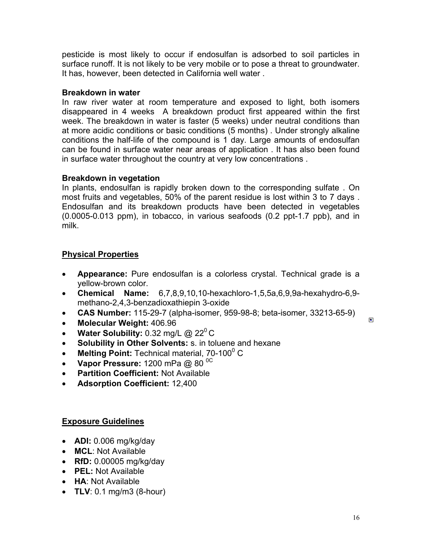pesticide is most likely to occur if endosulfan is adsorbed to soil particles in surface runoff. It is not likely to be very mobile or to pose a threat to groundwater. It has, however, been detected in California well water .

### **Breakdown in water**

In raw river water at room temperature and exposed to light, both isomers disappeared in 4 weeks A breakdown product first appeared within the first week. The breakdown in water is faster (5 weeks) under neutral conditions than at more acidic conditions or basic conditions (5 months) . Under strongly alkaline conditions the half-life of the compound is 1 day. Large amounts of endosulfan can be found in surface water near areas of application . It has also been found in surface water throughout the country at very low concentrations .

## **Breakdown in vegetation**

In plants, endosulfan is rapidly broken down to the corresponding sulfate . On most fruits and vegetables, 50% of the parent residue is lost within 3 to 7 days . Endosulfan and its breakdown products have been detected in vegetables (0.0005-0.013 ppm), in tobacco, in various seafoods (0.2 ppt-1.7 ppb), and in milk.

## **Physical Properties**

- **Appearance:** Pure endosulfan is a colorless crystal. Technical grade is a yellow-brown color.
- **Chemical Name:** 6,7,8,9,10,10-hexachloro-1,5,5a,6,9,9a-hexahydro-6,9 methano-2,4,3-benzadioxathiepin 3-oxide
- **CAS Number:** 115-29-7 (alpha-isomer, 959-98-8; beta-isomer, 33213-65-9)
- **Molecular Weight:** 406.96
- **Water Solubility:**  $0.32$  mg/L @  $22^{\circ}$ C
- **Solubility in Other Solvents:** s. in toluene and hexane
- Melting Point: Technical material, 70-100<sup>0</sup> C
- Vapor Pressure: 1200 mPa @ 80  $^{\circ}$ C
- **Partition Coefficient:** Not Available
- **Adsorption Coefficient:** 12,400

## **Exposure Guidelines**

- **ADI:** 0.006 mg/kg/day
- **MCL**: Not Available
- **RfD:** 0.00005 mg/kg/day
- **PEL:** Not Available
- **HA**: Not Available
- **TLV**: 0.1 mg/m3 (8-hour)

 $\qquad \qquad \blacksquare$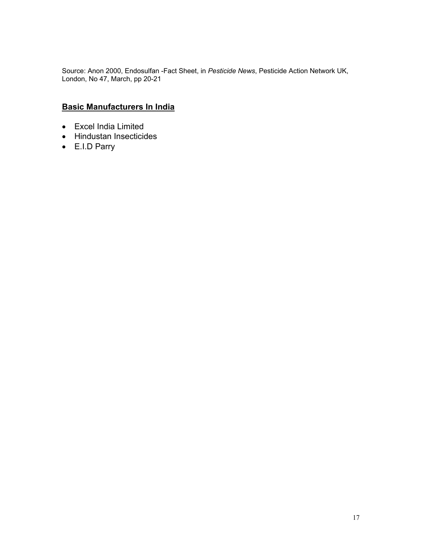Source: Anon 2000, Endosulfan -Fact Sheet, in *Pesticide News*, Pesticide Action Network UK, London, No 47, March, pp 20-21

## **Basic Manufacturers In India**

- Excel India Limited
- Hindustan Insecticides
- E.I.D Parry